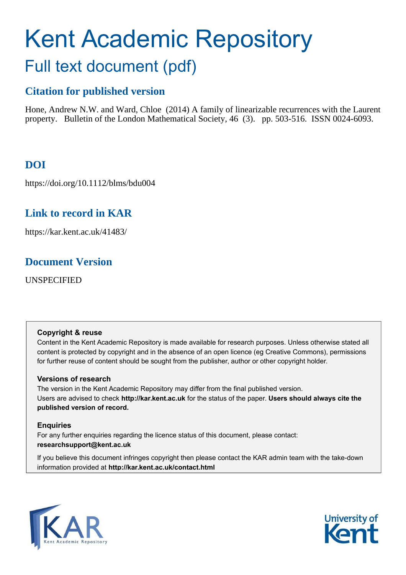# Kent Academic Repository Full text document (pdf)

# **Citation for published version**

Hone, Andrew N.W. and Ward, Chloe (2014) A family of linearizable recurrences with the Laurent property. Bulletin of the London Mathematical Society, 46 (3). pp. 503-516. ISSN 0024-6093.

# **DOI**

https://doi.org/10.1112/blms/bdu004

# **Link to record in KAR**

https://kar.kent.ac.uk/41483/

# <span id="page-0-2"></span>**Document Version**

UNSPECIFIED

## <span id="page-0-0"></span>**Copyright & reuse**

Content in the Kent Academic Repository is made available for research purposes. Unless otherwise stated all content is protected by copyright and in the absence of an open licence (eg Creative Commons), permissions for further reuse of content should be sought from the publisher, author or other copyright holder.

## **Versions of research**

<span id="page-0-1"></span>The version in the Kent Academic Repository may differ from the final published version. Users are advised to check **http://kar.kent.ac.uk** for the status of the paper. **Users should always cite the published version of record.**

## **Enquiries**

For any further enquiries regarding the licence status of this document, please contact: **researchsupport@kent.ac.uk**

If you believe this document infringes copyright then please contact the KAR admin team with the take-down information provided at **http://kar.kent.ac.uk/contact.html**



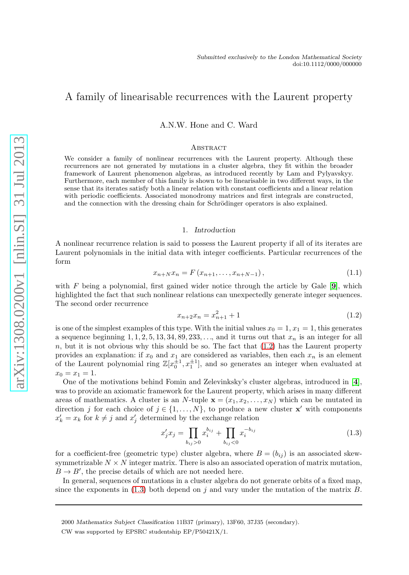### A family of linearisable recurrences with the Laurent property

A.N.W. Hone and C. Ward

#### **ABSTRACT**

We consider a family of nonlinear recurrences with the Laurent property. Although these recurrences are not generated by mutations in a cluster algebra, they fit within the broader framework of Laurent phenomenon algebras, as introduced recently by Lam and Pylyavskyy. Furthermore, each member of this family is shown to be linearisable in two different ways, in the sense that its iterates satisfy both a linear relation with constant coefficients and a linear relation with periodic coefficients. Associated monodromy matrices and first integrals are constructed, and the connection with the dressing chain for Schrödinger operators is also explained.

#### 1. Introduction

A nonlinear recurrence relation is said to possess the Laurent property if all of its iterates are Laurent polynomials in the initial data with integer coefficients. Particular recurrences of the form

$$
x_{n+N}x_n = F(x_{n+1},...,x_{n+N-1}),
$$
\n(1.1)

with  $F$  being a polynomial, first gained wider notice through the article by Gale  $[9]$  $[9]$  $[9]$ , which highlighted the fact that such nonlinear relations can unexpectedly generate integer sequences. The second order recurrence

<span id="page-1-0"></span>
$$
x_{n+2}x_n = x_{n+1}^2 + 1 \tag{1.2}
$$

is one of the simplest examples of this type. With the initial values  $x_0 = 1, x_1 = 1$ , this generates a sequence beginning  $1, 1, 2, 5, 13, 34, 89, 233, \ldots$ , and it turns out that  $x_n$  is an integer for all  $n$ , but it is not obvious why this should be so. The fact that  $(1.2)$  has the Laurent property provides an explanation: if  $x_0$  and  $x_1$  are considered as variables, then each  $x_n$  is an element of the Laurent polynomial ring  $\mathbb{Z}[x_0^{\pm 1}, x_1^{\pm 1}]$ , and so generates an integer when evaluated at  $x_0 = x_1 = 1.$ 

One of the motivations behind Fomin and Zelevinksky's cluster algebras, introduced in [[4](#page-12-1)], was to provide an axiomatic framework for the Laurent property, which arises in many different areas of mathematics. A cluster is an N-tuple  $\mathbf{x} = (x_1, x_2, \dots, x_N)$  which can be mutated in direction j for each choice of  $j \in \{1, ..., N\}$ , to produce a new cluster **x'** with components  $x'_k = x_k$  for  $k \neq j$  and  $x'_j$  determined by the exchange relation

<span id="page-1-2"></span><span id="page-1-1"></span>
$$
x'_{j}x_{j} = \prod_{b_{ij}>0} x_{i}^{b_{ij}} + \prod_{b_{ij}<0} x_{i}^{-b_{ij}}
$$
\n(1.3)

for a coefficient-free (geometric type) cluster algebra, where  $B = (b_{ij})$  is an associated skewsymmetrizable  $N \times N$  integer matrix. There is also an associated operation of matrix mutation,  $B \to B'$ , the precise details of which are not needed here.

In general, sequences of mutations in a cluster algebra do not generate orbits of a fixed map, since the exponents in  $(1.3)$  both depend on j and vary under the mutation of the matrix B.

<sup>2000</sup> Mathematics Subject Classification 11B37 (primary), 13F60, 37J35 (secondary).

<span id="page-1-3"></span>CW was supported by EPSRC studentship EP/P50421X/1.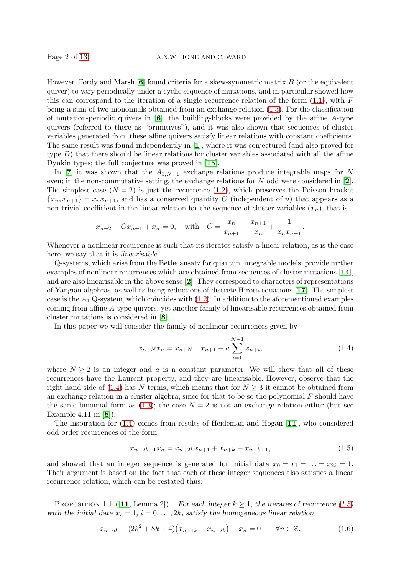However, Fordy and Marsh  $[6]$  $[6]$  $[6]$  found criteria for a skew-symmetric matrix B (or the equivalent quiver) to vary periodically under a cyclic sequence of mutations, and in particular showed how this can correspond to the iteration of a single recurrence relation of the form  $(1.1)$ , with F being a sum of two monomials obtained from an exchange relation [\(1.3\)](#page-0-1). For the classification of mutation-periodic quivers in  $[6]$  $[6]$  $[6]$ , the building-blocks were provided by the affine A-type quivers (referred to there as "primitives"), and it was also shown that sequences of cluster variables generated from these affine quivers satisfy linear relations with constant coefficients. The same result was found independently in [[1](#page-12-4)], where it was conjectured (and also proved for type  $D$ ) that there should be linear relations for cluster variables associated with all the affine Dynkin types; the full conjecture was proved in [[15](#page-12-5)].

<span id="page-2-1"></span>In [[7](#page-12-6)] it was shown that the  $\tilde{A}_{1,N-1}$  exchange relations produce integrable maps for N even; in the non-commutative setting, the exchange relations for  $N$  odd were considered in [[2](#page-12-7)]. The simplest case  $(N = 2)$  is just the recurrence  $(1.2)$ , which preserves the Poisson bracket  ${x_n, x_{n+1}} = x_n x_{n+1}$ , and has a conserved quantity C (independent of n) that appears as a non-trivial coefficient in the linear relation for the sequence of cluster variables  $(x_n)$ , that is

<span id="page-2-0"></span>
$$
x_{n+2} - Cx_{n+1} + x_n = 0
$$
, with  $C = \frac{x_n}{x_{n+1}} + \frac{x_{n+1}}{x_n} + \frac{1}{x_n x_{n+1}}$ .

Whenever a nonlinear recurrence is such that its iterates satisfy a linear relation, as is the case here, we say that it is linearisable.

Q-systems, which arise from the Bethe ansatz for quantum integrable models, provide further examples of nonlinear recurrences which are obtained from sequences of cluster mutations [[14](#page-12-8)], and are also linearisable in the above sense [[2](#page-12-7)]. They correspond to characters of representations of Yangian algebras, as well as being reductions of discrete Hirota equations [[17](#page-12-9)]. The simplest case is the  $A_1$  Q-system, which coincides with  $(1.2)$ . In addition to the aforementioned examples coming from affine A-type quivers, yet another family of linearisable recurrences obtained from cluster mutations is considered in [[8](#page-12-10)].

In this paper we will consider the family of nonlinear recurrences given by

$$
x_{n+N}x_n = x_{n+N-1}x_{n+1} + a \sum_{i=1}^{N-1} x_{n+i},
$$
\n(1.4)

where  $N \geq 2$  is an integer and a is a constant parameter. We will show that all of these recurrences have the Laurent property, and they are linearisable. However, observe that the right hand side of [\(1.4\)](#page-1-0) has N terms, which means that for  $N \geq 3$  it cannot be obtained from an exchange relation in a cluster algebra, since for that to be so the polynomial  $F$  should have the same binomial form as [\(1.3\)](#page-0-1); the case  $N = 2$  is not an exchange relation either (but see Example 4.11 in [[8](#page-12-10)]).

The inspiration for  $(1.4)$  comes from results of Heideman and Hogan [[11](#page-12-11)], who considered odd order recurrences of the form

$$
x_{n+2k+1}x_n = x_{n+2k}x_{n+1} + x_{n+k} + x_{n+k+1},
$$
\n(1.5)

and showed that an integer sequence is generated for initial data  $x_0 = x_1 = \ldots = x_{2k} = 1$ . Their argument is based on the fact that each of these integer sequences also satisfies a linear recurrence relation, which can be restated thus:

PROPOSITION 1.1 ([[11](#page-12-11), Lemma 2]). For each integer  $k \ge 1$ , the iterates of recurrence [\(1.5\)](#page-1-1) with the initial data  $x_i = 1$ ,  $i = 0, \ldots, 2k$ , satisfy the homogeneous linear relation

$$
x_{n+6k} - (2k^2 + 8k + 4)(x_{n+4k} - x_{n+2k}) - x_n = 0 \quad \forall n \in \mathbb{Z}.
$$
 (1.6)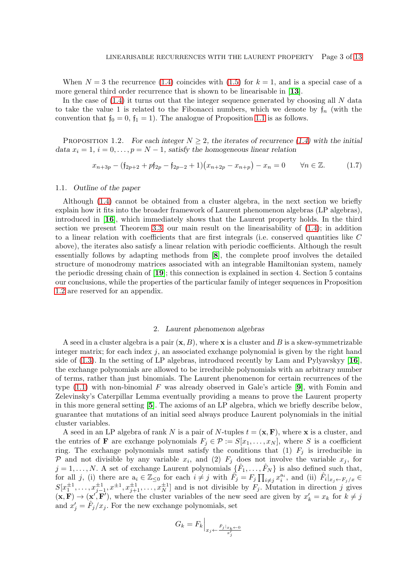When  $N = 3$  the recurrence [\(1.4\)](#page-1-0) coincides with [\(1.5\)](#page-1-1) for  $k = 1$ , and is a special case of a more general third order recurrence that is shown to be linearisable in [[13](#page-12-12)].

In the case of  $(1.4)$  it turns out that the integer sequence generated by choosing all N data to take the value 1 is related to the Fibonacci numbers, which we denote by  $f_n$  (with the convention that  $f_0 = 0$ ,  $f_1 = 1$ ). The analogue of Proposition [1.1](#page-1-2) is as follows.

PROPOSITION 1.2. For each integer  $N \geq 2$ , the iterates of recurrence [\(1.4\)](#page-1-0) with the initial data  $x_i = 1$ ,  $i = 0, \ldots, p = N - 1$ , satisfy the homogeneous linear relation

$$
x_{n+3p} - (\mathfrak{f}_{2p+2} + p\mathfrak{f}_{2p} - \mathfrak{f}_{2p-2} + 1)(x_{n+2p} - x_{n+p}) - x_n = 0 \qquad \forall n \in \mathbb{Z}.
$$
 (1.7)

#### 1.1. Outline of the paper

Although [\(1.4\)](#page-1-0) cannot be obtained from a cluster algebra, in the next section we briefly explain how it fits into the broader framework of Laurent phenomenon algebras (LP algebras), introduced in [[16](#page-12-13)], which immediately shows that the Laurent property holds. In the third section we present Theorem [3.3,](#page-5-0) our main result on the linearisability of [\(1.4\)](#page-1-0); in addition to a linear relation with coefficients that are first integrals (i.e. conserved quantities like C above), the iterates also satisfy a linear relation with periodic coefficients. Although the result essentially follows by adapting methods from [[8](#page-12-10)], the complete proof involves the detailed structure of monodromy matrices associated with an integrable Hamiltonian system, namely the periodic dressing chain of [[19](#page-12-14)]; this connection is explained in section 4. Section 5 contains our conclusions, while the properties of the particular family of integer sequences in Proposition [1.2](#page-2-0) are reserved for an appendix.

#### <span id="page-3-4"></span>2. Laurent phenomenon algebras

A seed in a cluster algebra is a pair  $(x, B)$ , where x is a cluster and B is a skew-symmetrizable integer matrix; for each index  $j$ , an associated exchange polynomial is given by the right hand side of  $(1.3)$ . In the setting of LP algebras, introduced recently by Lam and Pylyavskyy [[16](#page-12-13)], the exchange polynomials are allowed to be irreducible polynomials with an arbitrary number of terms, rather than just binomials. The Laurent phenomenon for certain recurrences of the type  $(1.1)$  with non-binomial F was already observed in Gale's article [[9](#page-12-0)], with Fomin and Zelevinsky's Caterpillar Lemma eventually providing a means to prove the Laurent property in this more general setting [[5](#page-12-15)]. The axioms of an LP algebra, which we briefly describe below, guarantee that mutations of an initial seed always produce Laurent polynomials in the initial cluster variables.

<span id="page-3-2"></span><span id="page-3-0"></span>A seed in an LP algebra of rank N is a pair of N-tuples  $t = (\mathbf{x}, \mathbf{F})$ , where x is a cluster, and the entries of **F** are exchange polynomials  $F_j \in \mathcal{P} := S[x_1, \ldots, x_N]$ , where S is a coefficient ring. The exchange polynomials must satisfy the conditions that (1)  $F_j$  is irreducible in P and not divisible by any variable  $x_i$ , and (2)  $F_j$  does not involve the variable  $x_j$ , for  $j = 1, \ldots, N$ . A set of exchange Laurent polynomials  $\{\hat{F}_1, \ldots, \hat{F}_N\}$  is also defined such that, for all j, (i) there are  $a_i \in \mathbb{Z}_{\leq 0}$  for each  $i \neq j$  with  $\hat{F}_j = F_j \prod_{i \neq j} x_i^{a_i}$ , and (ii)  $\hat{F}_i|_{x_j \leftarrow F_j/x} \in$  $S[x_1^{\pm 1}, \ldots, x_{j-1}^{\pm 1}, x^{\pm 1}, x_{j+1}^{\pm 1}, \ldots, x_N^{\pm 1}]$  and is not divisible by  $F_j$ . Mutation in direction j gives  $({\bf x}, {\bf F}) \to ({\bf x}', {\bf F}')$ , where the cluster variables of the new seed are given by  $x'_k = x_k$  for  $k \neq j$ and  $x'_{j} = \hat{F}_{j}/x_{j}$ . For the new exchange polynomials, set

<span id="page-3-3"></span><span id="page-3-1"></span>
$$
G_k = F_k \Big|_{x_j \leftarrow \frac{\hat{F}_j \vert_{x_k \leftarrow 0}}{x'_j}}
$$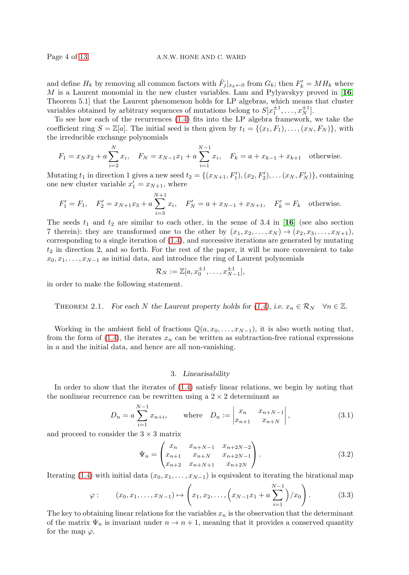and define  $H_k$  by removing all common factors with  $\hat{F}_j|_{x_k \leftarrow 0}$  from  $G_k$ ; then  $F'_k = M H_k$  where M is a Laurent monomial in the new cluster variables. Lam and Pylyavskyy proved in  $[16,$  $[16,$  $[16,$ Theorem 5.1] that the Laurent phenomenon holds for LP algebras, which means that cluster variables obtained by arbitrary sequences of mutations belong to  $S[x_1^{\pm 1}, \ldots, x_N^{\pm 1}]$ .

To see how each of the recurrences [\(1.4\)](#page-1-0) fits into the LP algebra framework, we take the coefficient ring  $S = \mathbb{Z}[a]$ . The initial seed is then given by  $t_1 = \{(x_1, F_1), \ldots, (x_N, F_N)\}$ , with the irreducible exchange polynomials

<span id="page-4-1"></span><span id="page-4-0"></span>
$$
F_1 = x_N x_2 + a \sum_{i=2}^N x_i, \quad F_N = x_{N-1} x_1 + a \sum_{i=1}^{N-1} x_i, \quad F_k = a + x_{k-1} + x_{k+1} \quad \text{otherwise.}
$$

Mutating  $t_1$  in direction 1 gives a new seed  $t_2 = \{(x_{N+1}, F'_1), (x_2, F'_2), \dots (x_N, F'_N)\}\,$  containing one new cluster variable  $x'_1 = x_{N+1}$ , where

$$
F'_1 = F_1
$$
,  $F'_2 = x_{N+1}x_3 + a \sum_{i=3}^{N+1} x_i$ ,  $F'_N = a + x_{N-1} + x_{N+1}$ ,  $F'_k = F_k$  otherwise.

The seeds  $t_1$  and  $t_2$  are similar to each other, in the sense of 3.4 in [[16](#page-12-13)] (see also section 7 therein): they are transformed one to the other by  $(x_1, x_2, \ldots, x_N) \rightarrow (x_2, x_3, \ldots, x_{N+1}),$ corresponding to a single iteration of [\(1.4\)](#page-1-0), and successive iterations are generated by mutating  $t_2$  in direction 2, and so forth. For the rest of the paper, it will be more convenient to take  $x_0, x_1, \ldots, x_{N-1}$  as initial data, and introduce the ring of Laurent polynomials

$$
\mathcal{R}_N := \mathbb{Z}[a, x_0^{\pm 1}, \dots, x_{N-1}^{\pm 1}],
$$

in order to make the following statement.

THEOREM 2.1. For each N the Laurent property holds for [\(1.4\)](#page-1-0), i.e.  $x_n \in \mathcal{R}_N \quad \forall n \in \mathbb{Z}$ .

Working in the ambient field of fractions  $\mathbb{Q}(a, x_0, \ldots, x_{N-1})$ , it is also worth noting that, from the form of  $(1.4)$ , the iterates  $x_n$  can be written as subtraction-free rational expressions in  $a$  and the initial data, and hence are all non-vanishing.

#### 3. Linearisability

<span id="page-4-4"></span>In order to show that the iterates of [\(1.4\)](#page-1-0) satisfy linear relations, we begin by noting that the nonlinear recurrence can be rewritten using a  $2 \times 2$  determinant as

$$
D_n = a \sum_{i=1}^{N-1} x_{n+i}, \quad \text{where} \quad D_n := \begin{vmatrix} x_n & x_{n+N-1} \\ x_{n+1} & x_{n+N} \end{vmatrix}, \tag{3.1}
$$

and proceed to consider the  $3 \times 3$  matrix

$$
\Psi_n = \begin{pmatrix} x_n & x_{n+N-1} & x_{n+2N-2} \\ x_{n+1} & x_{n+N} & x_{n+2N-1} \\ x_{n+2} & x_{n+N+1} & x_{n+2N} \end{pmatrix} .
$$
\n(3.2)

<span id="page-4-3"></span>Iterating [\(1.4\)](#page-1-0) with initial data  $(x_0, x_1, \ldots, x_{N-1})$  is equivalent to iterating the birational map

<span id="page-4-2"></span>
$$
\varphi
$$
:  $(x_0, x_1, \dots, x_{N-1}) \mapsto \left(x_1, x_2, \dots, \left(x_{N-1}x_1 + a \sum_{i=1}^{N-1} \right) / x_0\right)$ . (3.3)

The key to obtaining linear relations for the variables  $x_n$  is the observation that the determinant of the matrix  $\Psi_n$  is invariant under  $n \to n+1$ , meaning that it provides a conserved quantity for the map  $\varphi$ .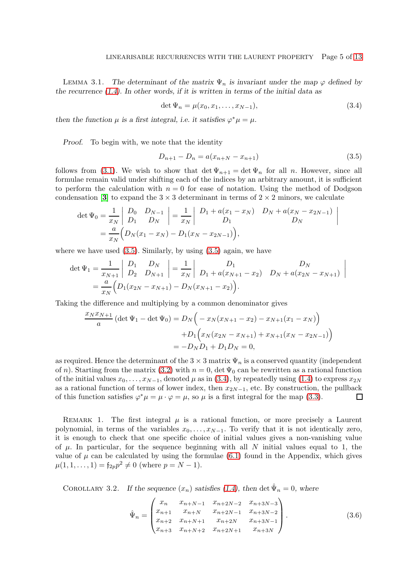LEMMA 3.1. The determinant of the matrix  $\Psi_n$  is invariant under the map  $\varphi$  defined by the recurrence [\(1.4\)](#page-1-0). In other words, if it is written in terms of the initial data as

$$
\det \Psi_n = \mu(x_0, x_1, \dots, x_{N-1}),\tag{3.4}
$$

then the function  $\mu$  is a first integral, i.e. it satisfies  $\varphi^*\mu = \mu$ .

Proof. To begin with, we note that the identity

<span id="page-5-5"></span><span id="page-5-0"></span>
$$
D_{n+1} - D_n = a(x_{n+N} - x_{n+1})
$$
\n(3.5)

follows from [\(3.1\)](#page-3-0). We wish to show that  $\det \Psi_{n+1} = \det \Psi_n$  for all n. However, since all formulae remain valid under shifting each of the indices by an arbitrary amount, it is sufficient to perform the calculation with  $n = 0$  for ease of notation. Using the method of Dodgson condensation [[3](#page-12-16)] to expand the  $3 \times 3$  determinant in terms of  $2 \times 2$  minors, we calculate

$$
\det \Psi_0 = \frac{1}{x_N} \begin{vmatrix} D_0 & D_{N-1} \\ D_1 & D_N \end{vmatrix} = \frac{1}{x_N} \begin{vmatrix} D_1 + a(x_1 - x_N) & D_N + a(x_N - x_{2N-1}) \\ D_1 & D_N \end{vmatrix}
$$
  
=  $\frac{a}{x_N} (D_N(x_1 - x_N) - D_1(x_N - x_{2N-1})),$ 

where we have used  $(3.5)$ . Similarly, by using  $(3.5)$  again, we have

<span id="page-5-2"></span><span id="page-5-1"></span>
$$
\det \Psi_1 = \frac{1}{x_{N+1}} \begin{vmatrix} D_1 & D_N \\ D_2 & D_{N+1} \end{vmatrix} = \frac{1}{x_N} \begin{vmatrix} D_1 & D_N \\ D_1 + a(x_{N+1} - x_2) & D_N + a(x_{2N} - x_{N+1}) \end{vmatrix}
$$
  
=  $\frac{a}{x_N} (D_1(x_{2N} - x_{N+1}) - D_N(x_{N+1} - x_2)).$ 

Taking the difference and multiplying by a common denominator gives

$$
\frac{x_N x_{N+1}}{a} \left( \det \Psi_1 - \det \Psi_0 \right) = D_N \left( -x_N (x_{N+1} - x_2) - x_{N+1} (x_1 - x_N) \right)
$$

$$
+ D_1 \left( x_N (x_{2N} - x_{N+1}) + x_{N+1} (x_N - x_{2N-1}) \right)
$$

$$
= -D_N D_1 + D_1 D_N = 0,
$$

as required. Hence the determinant of the  $3 \times 3$  matrix  $\Psi_n$  is a conserved quantity (independent of n). Starting from the matrix [\(3.2\)](#page-3-1) with  $n = 0$ , det  $\Psi_0$  can be rewritten as a rational function of the initial values  $x_0, \ldots, x_{N-1}$ , denoted  $\mu$  as in [\(3.4\)](#page-4-1), by repeatedly using [\(1.4\)](#page-1-0) to express  $x_{2N}$ as a rational function of terms of lower index, then  $x_{2N-1}$ , etc. By construction, the pullback of this function satisfies  $\varphi^*\mu = \mu \cdot \varphi = \mu$ , so  $\mu$  is a first integral for the map (3.3). of this function satisfies  $\varphi^*\mu = \mu \cdot \varphi = \mu$ , so  $\mu$  is a first integral for the map [\(3.3\)](#page-3-2).

<span id="page-5-3"></span>REMARK 1. The first integral  $\mu$  is a rational function, or more precisely a Laurent polynomial, in terms of the variables  $x_0, \ldots, x_{N-1}$ . To verify that it is not identically zero, it is enough to check that one specific choice of initial values gives a non-vanishing value of  $\mu$ . In particular, for the sequence beginning with all N initial values equal to 1, the value of  $\mu$  can be calculated by using the formulae [\(6.1\)](#page-11-0) found in the Appendix, which gives  $\mu(1, 1, \ldots, 1) = \mathfrak{f}_{2p} p^2 \neq 0$  (where  $p = N - 1$ ).

COROLLARY 3.2. If the sequence  $(x_n)$  satisfies [\(1.4\)](#page-1-0), then det  $\hat{\Psi}_n = 0$ , where

<span id="page-5-6"></span><span id="page-5-4"></span>
$$
\hat{\Psi}_n = \begin{pmatrix} x_n & x_{n+N-1} & x_{n+2N-2} & x_{n+3N-3} \\ x_{n+1} & x_{n+N} & x_{n+2N-1} & x_{n+3N-2} \\ x_{n+2} & x_{n+N+1} & x_{n+2N} & x_{n+3N-1} \\ x_{n+3} & x_{n+N+2} & x_{n+2N+1} & x_{n+3N} \end{pmatrix} .
$$
\n(3.6)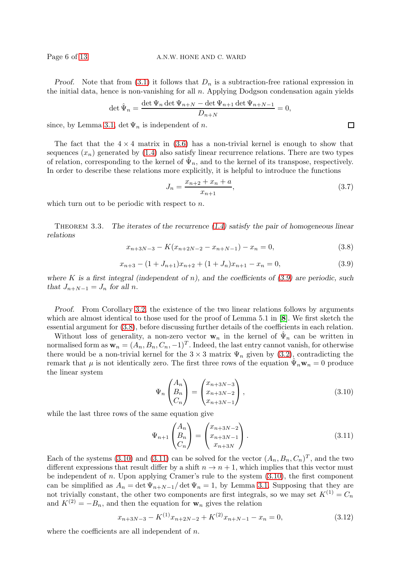Proof. Note that from [\(3.1\)](#page-3-0) it follows that  $D_n$  is a subtraction-free rational expression in the initial data, hence is non-vanishing for all n. Applying Dodgson condensation again yields

<span id="page-6-0"></span>
$$
\det \hat{\Psi}_n = \frac{\det \Psi_n \det \Psi_{n+N} - \det \Psi_{n+1} \det \Psi_{n+N-1}}{D_{n+N}} = 0,
$$

since, by Lemma [3.1,](#page-3-3) det  $\Psi_n$  is independent of n.

The fact that the  $4 \times 4$  matrix in [\(3.6\)](#page-4-2) has a non-trivial kernel is enough to show that sequences  $(x_n)$  generated by  $(1.4)$  also satisfy linear recurrence relations. There are two types of relation, corresponding to the kernel of  $\hat{\Psi}_n$ , and to the kernel of its transpose, respectively. In order to describe these relations more explicitly, it is helpful to introduce the functions

<span id="page-6-4"></span>
$$
J_n = \frac{x_{n+2} + x_n + a}{x_{n+1}},\tag{3.7}
$$

which turn out to be periodic with respect to n.

THEOREM 3.3. The iterates of the recurrence  $(1.4)$  satisfy the pair of homogeneous linear relations

$$
x_{n+3N-3} - K(x_{n+2N-2} - x_{n+N-1}) - x_n = 0,
$$
\n(3.8)

$$
x_{n+3} - (1 + J_{n+1})x_{n+2} + (1 + J_n)x_{n+1} - x_n = 0,
$$
\n(3.9)

where K is a first integral (independent of n), and the coefficients of  $(3.9)$  are periodic, such that  $J_{n+N-1} = J_n$  for all n.

Proof. From Corollary [3.2,](#page-4-3) the existence of the two linear relations follows by arguments which are almost identical to those used for the proof of Lemma 5.1 in [[8](#page-12-10)]. We first sketch the essential argument for [\(3.8\)](#page-5-2), before discussing further details of the coefficients in each relation.

Without loss of generality, a non-zero vector  $\mathbf{w}_n$  in the kernel of  $\hat{\Psi}_n$  can be written in normalised form as  $\mathbf{w}_n = (A_n, B_n, C_n, -1)^T$ . Indeed, the last entry cannot vanish, for otherwise there would be a non-trivial kernel for the  $3 \times 3$  matrix  $\Psi_n$  given by [\(3.2\)](#page-3-1), contradicting the remark that  $\mu$  is not identically zero. The first three rows of the equation  $\hat{\Psi}_n \mathbf{w}_n = 0$  produce the linear system

$$
\Psi_n \begin{pmatrix} A_n \\ B_n \\ C_n \end{pmatrix} = \begin{pmatrix} x_{n+3N-3} \\ x_{n+3N-2} \\ x_{n+3N-1} \end{pmatrix},
$$
\n(3.10)

<span id="page-6-3"></span>while the last three rows of the same equation give

<span id="page-6-1"></span>
$$
\Psi_{n+1} \begin{pmatrix} A_n \\ B_n \\ C_n \end{pmatrix} = \begin{pmatrix} x_{n+3N-2} \\ x_{n+3N-1} \\ x_{n+3N} \end{pmatrix} . \tag{3.11}
$$

<span id="page-6-2"></span>Each of the systems [\(3.10\)](#page-5-3) and [\(3.11\)](#page-5-4) can be solved for the vector  $(A_n, B_n, C_n)^T$ , and the two different expressions that result differ by a shift  $n \to n + 1$ , which implies that this vector must be independent of n. Upon applying Cramer's rule to the system  $(3.10)$ , the first component can be simplified as  $A_n = \det \Psi_{n+N-1}/\det \Psi_n = 1$ , by Lemma [3.1.](#page-3-3) Supposing that they are not trivially constant, the other two components are first integrals, so we may set  $K^{(1)} = C_n$ and  $K^{(2)} = -B_n$ , and then the equation for  $\mathbf{w}_n$  gives the relation

$$
x_{n+3N-3} - K^{(1)}x_{n+2N-2} + K^{(2)}x_{n+N-1} - x_n = 0,
$$
\n(3.12)

where the coefficients are all independent of  $n$ .

 $\Box$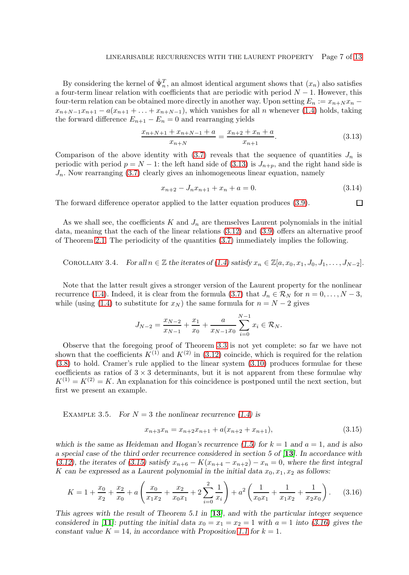<span id="page-7-1"></span>By considering the kernel of  $\hat{\Psi}_n^T$ , an almost identical argument shows that  $(x_n)$  also satisfies a four-term linear relation with coefficients that are periodic with period  $N - 1$ . However, this four-term relation can be obtained more directly in another way. Upon setting  $E_n := x_{n+N} x_n$  $x_{n+N-1}x_{n+1} - a(x_{n+1} + \ldots + x_{n+N-1}),$  which vanishes for all n whenever [\(1.4\)](#page-1-0) holds, taking the forward difference  $E_{n+1} - E_n = 0$  and rearranging yields

$$
\frac{x_{n+N+1} + x_{n+N-1} + a}{x_{n+N}} = \frac{x_{n+2} + x_n + a}{x_{n+1}}.\tag{3.13}
$$

Comparison of the above identity with [\(3.7\)](#page-5-5) reveals that the sequence of quantities  $J_n$  is periodic with period  $p = N - 1$ : the left hand side of [\(3.13\)](#page-6-0) is  $J_{n+p}$ , and the right hand side is  $J_n$ . Now rearranging [\(3.7\)](#page-5-5) clearly gives an inhomogeneous linear equation, namely

$$
x_{n+2} - J_n x_{n+1} + x_n + a = 0. \tag{3.14}
$$

 $\Box$ 

The forward difference operator applied to the latter equation produces [\(3.9\)](#page-5-1).

As we shall see, the coefficients K and  $J_n$  are themselves Laurent polynomials in the initial data, meaning that the each of the linear relations [\(3.12\)](#page-5-6) and [\(3.9\)](#page-5-1) offers an alternative proof of Theorem [2.1.](#page-3-4) The periodicity of the quantities [\(3.7\)](#page-5-5) immediately implies the following.

<span id="page-7-0"></span>COROLLARY 3.4. For all  $n \in \mathbb{Z}$  the iterates of [\(1.4\)](#page-1-0) satisfy  $x_n \in \mathbb{Z}[a, x_0, x_1, J_0, J_1, \ldots, J_{N-2}].$ 

Note that the latter result gives a stronger version of the Laurent property for the nonlinear recurrence [\(1.4\)](#page-1-0). Indeed, it is clear from the formula [\(3.7\)](#page-5-5) that  $J_n \in \mathcal{R}_N$  for  $n = 0, \ldots, N-3$ , while (using [\(1.4\)](#page-1-0) to substitute for  $x_N$ ) the same formula for  $n = N - 2$  gives

$$
J_{N-2} = \frac{x_{N-2}}{x_{N-1}} + \frac{x_1}{x_0} + \frac{a}{x_{N-1}x_0} \sum_{i=0}^{N-1} x_i \in \mathcal{R}_N.
$$

Observe that the foregoing proof of Theorem [3.3](#page-5-0) is not yet complete: so far we have not shown that the coefficients  $K^{(1)}$  and  $K^{(2)}$  in [\(3.12\)](#page-5-6) coincide, which is required for the relation [\(3.8\)](#page-5-2) to hold. Cramer's rule applied to the linear system [\(3.10\)](#page-5-3) produces formulae for these coefficients as ratios of  $3 \times 3$  determinants, but it is not apparent from these formulae why  $K^{(1)} = K^{(2)} = K$ . An explanation for this coincidence is postponed until the next section, but first we present an example.

EXAMPLE 3.5. For  $N = 3$  the nonlinear recurrence [\(1.4\)](#page-1-0) is

<span id="page-7-3"></span><span id="page-7-2"></span>
$$
x_{n+3}x_n = x_{n+2}x_{n+1} + a(x_{n+2} + x_{n+1}),
$$
\n(3.15)

which is the same as Heideman and Hogan's recurrence [\(1.5\)](#page-1-1) for  $k = 1$  and  $a = 1$ , and is also a special case of the third order recurrence considered in section 5 of [[13](#page-12-12)]. In accordance with [\(3.12\)](#page-5-6), the iterates of [\(3.15\)](#page-6-1) satisfy  $x_{n+6} - K(x_{n+4} - x_{n+2}) - x_n = 0$ , where the first integral K can be expressed as a Laurent polynomial in the initial data  $x_0, x_1, x_2$  as follows:

$$
K = 1 + \frac{x_0}{x_2} + \frac{x_2}{x_0} + a \left( \frac{x_0}{x_1 x_2} + \frac{x_2}{x_0 x_1} + 2 \sum_{i=0}^2 \frac{1}{x_i} \right) + a^2 \left( \frac{1}{x_0 x_1} + \frac{1}{x_1 x_2} + \frac{1}{x_2 x_0} \right). \tag{3.16}
$$

This agrees with the result of Theorem 5.1 in  $[13]$  $[13]$  $[13]$ , and with the particular integer sequence considered in [[11](#page-12-11)]: putting the initial data  $x_0 = x_1 = x_2 = 1$  with  $a = 1$  into [\(3.16\)](#page-6-2) gives the constant value  $K = 14$ , in accordance with Proposition [1.1](#page-1-2) for  $k = 1$ .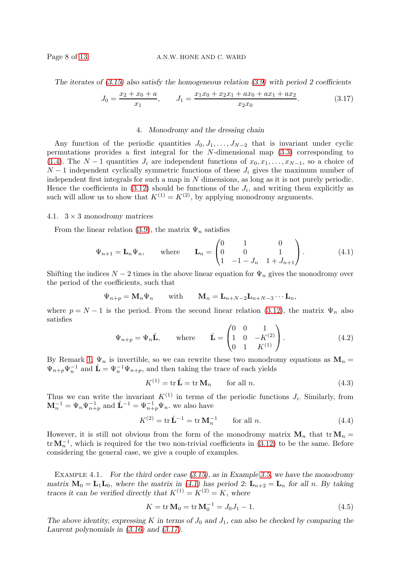#### Page 8 of [13](#page-12-2) A.N.W. HONE AND C. WARD

The iterates of  $(3.15)$  also satisfy the homogeneous relation  $(3.9)$  with period 2 coefficients

$$
J_0 = \frac{x_2 + x_0 + a}{x_1}, \qquad J_1 = \frac{x_1 x_0 + x_2 x_1 + ax_0 + ax_1 + ax_2}{x_2 x_0}.
$$
 (3.17)

#### 4. Monodromy and the dressing chain

Any function of the periodic quantities  $J_0, J_1, \ldots, J_{N-2}$  that is invariant under cyclic permutations provides a first integral for the N-dimensional map [\(3.3\)](#page-3-2) corresponding to [\(1.4\)](#page-1-0). The  $N-1$  quantities  $J_i$  are independent functions of  $x_0, x_1, \ldots, x_{N-1}$ , so a choice of  $N-1$  independent cyclically symmetric functions of these  $J_i$  gives the maximum number of independent first integrals for such a map in N dimensions, as long as it is not purely periodic. Hence the coefficients in  $(3.12)$  should be functions of the  $J_i$ , and writing them explicitly as such will allow us to show that  $K^{(1)} = K^{(2)}$ , by applying monodromy arguments.

#### 4.1.  $3 \times 3$  monodromy matrices

From the linear relation [\(3.9\)](#page-5-1), the matrix  $\Psi_n$  satisfies

<span id="page-8-0"></span>
$$
\Psi_{n+1} = \mathbf{L}_n \Psi_n
$$
, where  $\mathbf{L}_n = \begin{pmatrix} 0 & 1 & 0 \\ 0 & 0 & 1 \\ 1 & -1 - J_n & 1 + J_{n+1} \end{pmatrix}$ . (4.1)

Shifting the indices  $N-2$  times in the above linear equation for  $\Psi_n$  gives the monodromy over the period of the coefficients, such that

$$
\Psi_{n+p} = \mathbf{M}_n \Psi_n
$$
 with  $\mathbf{M}_n = \mathbf{L}_{n+N-2} \mathbf{L}_{n+N-3} \cdots \mathbf{L}_n$ ,

where  $p = N - 1$  is the period. From the second linear relation [\(3.12\)](#page-5-6), the matrix  $\Psi_n$  also satisfies

$$
\Psi_{n+p} = \Psi_n \hat{\mathbf{L}}, \quad \text{where} \quad \hat{\mathbf{L}} = \begin{pmatrix} 0 & 0 & 1 \\ 1 & 0 & -K^{(2)} \\ 0 & 1 & K^{(1)} \end{pmatrix}.
$$
\n(4.2)

By Remark [1,](#page-4-4)  $\Psi_n$  is invertible, so we can rewrite these two monodromy equations as  $\mathbf{M}_n =$  $\Psi_{n+p}\Psi_n^{-1}$  and  $\hat{\mathbf{L}} = \Psi_n^{-1}\Psi_{n+p}$ , and then taking the trace of each yields

$$
K^{(1)} = \text{tr}\,\hat{\mathbf{L}} = \text{tr}\,\mathbf{M}_n \qquad \text{for all } n. \tag{4.3}
$$

Thus we can write the invariant  $K^{(1)}$  in terms of the periodic functions  $J_i$ . Similarly, from  $\mathbf{M}_n^{-1} = \Psi_n \Psi_{n+p}^{-1}$  and  $\hat{\mathbf{L}}^{-1} = \Psi_{n+p}^{-1} \Psi_n$ , we also have

<span id="page-8-1"></span>
$$
K^{(2)} = \text{tr}\,\hat{\mathbf{L}}^{-1} = \text{tr}\,\mathbf{M}_n^{-1} \qquad \text{for all } n. \tag{4.4}
$$

However, it is still not obvious from the form of the monodromy matrix  $\mathbf{M}_n$  that tr $\mathbf{M}_n =$  $\text{tr } \mathbf{M}_n^{-1}$ , which is required for the two non-trivial coefficients in [\(3.12\)](#page-5-6) to be the same. Before considering the general case, we give a couple of examples.

EXAMPLE 4.1. For the third order case  $(3.15)$ , as in Example [3.5,](#page-6-3) we have the monodromy matrix  $M_0 = L_1L_0$ , where the matrix in [\(4.1\)](#page-7-0) has period 2:  $L_{n+2} = L_n$  for all n. By taking traces it can be verified directly that  $K^{(1)} = K^{(2)} = K$ , where

<span id="page-8-2"></span>
$$
K = \text{tr}\,\mathbf{M}_0 = \text{tr}\,\mathbf{M}_0^{-1} = J_0 J_1 - 1.
$$
 (4.5)

The above identity, expressing K in terms of  $J_0$  and  $J_1$ , can also be checked by comparing the Laurent polynomials in [\(3.16\)](#page-6-2) and [\(3.17\)](#page-7-1).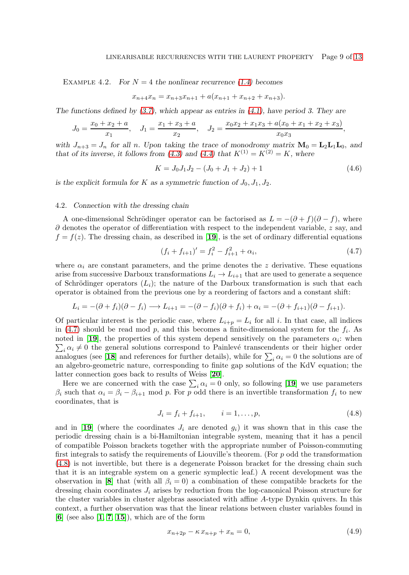EXAMPLE 4.2. For  $N = 4$  the nonlinear recurrence [\(1.4\)](#page-1-0) becomes

<span id="page-9-3"></span>
$$
x_{n+4}x_n = x_{n+3}x_{n+1} + a(x_{n+1} + x_{n+2} + x_{n+3}).
$$

The functions defined by  $(3.7)$ , which appear as entries in  $(4.1)$ , have period 3. They are

$$
J_0 = \frac{x_0 + x_2 + a}{x_1}, \quad J_1 = \frac{x_1 + x_3 + a}{x_2}, \quad J_2 = \frac{x_0 x_2 + x_1 x_3 + a(x_0 + x_1 + x_2 + x_3)}{x_0 x_3}
$$

with  $J_{n+3} = J_n$  for all n. Upon taking the trace of monodromy matrix  $\mathbf{M}_0 = \mathbf{L}_2 \mathbf{L}_1 \mathbf{L}_0$ , and that of its inverse, it follows from [\(4.3\)](#page-7-2) and [\(4.4\)](#page-7-3) that  $K^{(1)} = K^{(2)} = K$ , where

<span id="page-9-0"></span>
$$
K = J_0 J_1 J_2 - (J_0 + J_1 + J_2) + 1 \tag{4.6}
$$

,

is the explicit formula for K as a symmetric function of  $J_0$ ,  $J_1$ ,  $J_2$ .

#### 4.2. Connection with the dressing chain

A one-dimensional Schrödinger operator can be factorised as  $L = -(\partial + f)(\partial - f)$ , where  $\partial$  denotes the operator of differentiation with respect to the independent variable, z say, and  $f = f(z)$ . The dressing chain, as described in [[19](#page-12-14)], is the set of ordinary differential equations

$$
(f_i + f_{i+1})' = f_i^2 - f_{i+1}^2 + \alpha_i,
$$
\n(4.7)

where  $\alpha_i$  are constant parameters, and the prime denotes the z derivative. These equations arise from successive Darboux transformations  $L_i \to L_{i+1}$  that are used to generate a sequence of Schrödinger operators  $(L_i)$ ; the nature of the Darboux transformation is such that each operator is obtained from the previous one by a reordering of factors and a constant shift:

$$
L_i = -(\partial + f_i)(\partial - f_i) \longrightarrow L_{i+1} = -(\partial - f_i)(\partial + f_i) + \alpha_i = -(\partial + f_{i+1})(\partial - f_{i+1}).
$$

Of particular interest is the periodic case, where  $L_{i+p} = L_i$  for all i. In that case, all indices in [\(4.7\)](#page-8-0) should be read mod  $p$ , and this becomes a finite-dimensional system for the  $f_i$ . As noted in [[19](#page-12-14)], the properties of this system depend sensitively on the parameters  $\alpha_i$ : when  $\sum_i \alpha_i \neq 0$  the general solutions correspond to Painlevé transcendents or their higher order analogues (see [[18](#page-12-17)] and references for further details), while for  $\sum_i \alpha_i = 0$  the solutions are of an algebro-geometric nature, corresponding to finite gap solutions of the KdV equation; the latter connection goes back to results of Weiss [[20](#page-12-18)].

Here we are concerned with the case  $\sum_i \alpha_i = 0$  only, so following [[19](#page-12-14)] we use parameters  $\beta_i$  such that  $\alpha_i = \beta_i - \beta_{i+1}$  mod p. For p odd there is an invertible transformation  $f_i$  to new coordinates, that is

<span id="page-9-2"></span>
$$
J_i = f_i + f_{i+1}, \qquad i = 1, \dots, p,
$$
\n(4.8)

and in [[19](#page-12-14)] (where the coordinates  $J_i$  are denoted  $g_i$ ) it was shown that in this case the periodic dressing chain is a bi-Hamiltonian integrable system, meaning that it has a pencil of compatible Poisson brackets together with the appropriate number of Poisson-commuting first integrals to satisfy the requirements of Liouville's theorem. (For  $p$  odd the transformation [\(4.8\)](#page-8-1) is not invertible, but there is a degenerate Poisson bracket for the dressing chain such that it is an integrable system on a generic symplectic leaf.) A recent development was the observation in [[8](#page-12-10)] that (with all  $\beta_i = 0$ ) a combination of these compatible brackets for the dressing chain coordinates  $J_i$  arises by reduction from the log-canonical Poisson structure for the cluster variables in cluster algebras associated with affine A-type Dynkin quivers. In this context, a further observation was that the linear relations between cluster variables found in  $[6]$  $[6]$  $[6]$  (see also  $[1, 7, 15]$  $[1, 7, 15]$  $[1, 7, 15]$  $[1, 7, 15]$  $[1, 7, 15]$  $[1, 7, 15]$  $[1, 7, 15]$ ), which are of the form

<span id="page-9-1"></span>
$$
x_{n+2p} - \kappa x_{n+p} + x_n = 0,\t\t(4.9)
$$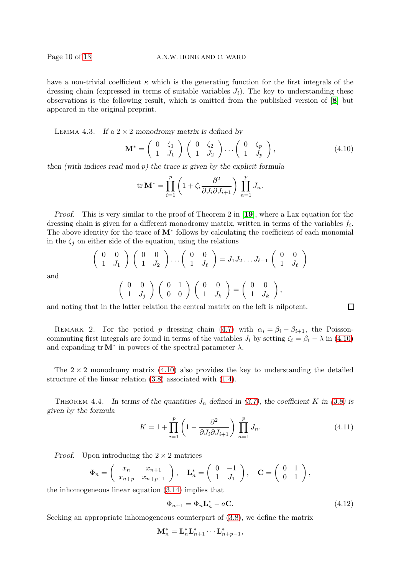and

have a non-trivial coefficient  $\kappa$  which is the generating function for the first integrals of the dressing chain (expressed in terms of suitable variables  $J_i$ ). The key to understanding these observations is the following result, which is omitted from the published version of [[8](#page-12-10)] but appeared in the original preprint.

LEMMA 4.3. If a  $2 \times 2$  monodromy matrix is defined by

<span id="page-10-0"></span>
$$
\mathbf{M}^* = \left(\begin{array}{cc} 0 & \zeta_1 \\ 1 & J_1 \end{array}\right) \left(\begin{array}{cc} 0 & \zeta_2 \\ 1 & J_2 \end{array}\right) \dots \left(\begin{array}{cc} 0 & \zeta_p \\ 1 & J_p \end{array}\right),\tag{4.10}
$$

then (with indices read mod  $p$ ) the trace is given by the explicit formula

$$
\operatorname{tr} \mathbf{M}^* = \prod_{i=1}^p \left( 1 + \zeta_i \frac{\partial^2}{\partial J_i \partial J_{i+1}} \right) \prod_{n=1}^p J_n.
$$

Proof. This is very similar to the proof of Theorem 2 in [[19](#page-12-14)], where a Lax equation for the dressing chain is given for a different monodromy matrix, written in terms of the variables  $f_i$ . The above identity for the trace of  $M^*$  follows by calculating the coefficient of each monomial in the  $\zeta_j$  on either side of the equation, using the relations

<span id="page-10-1"></span>
$$
\begin{pmatrix}\n0 & 0 \\
1 & J_1\n\end{pmatrix}\n\begin{pmatrix}\n0 & 0 \\
1 & J_2\n\end{pmatrix}\n\cdots\n\begin{pmatrix}\n0 & 0 \\
1 & J_\ell\n\end{pmatrix}\n= J_1 J_2 \cdots J_{\ell-1}\n\begin{pmatrix}\n0 & 0 \\
1 & J_\ell\n\end{pmatrix}
$$
\n
$$
\begin{pmatrix}\n0 & 0 \\
1 & J_j\n\end{pmatrix}\n\begin{pmatrix}\n0 & 1 \\
0 & 0\n\end{pmatrix}\n\begin{pmatrix}\n0 & 0 \\
1 & J_k\n\end{pmatrix}\n=\n\begin{pmatrix}\n0 & 0 \\
1 & J_k\n\end{pmatrix},
$$

and noting that in the latter relation the central matrix on the left is nilpotent.

REMARK 2. For the period p dressing chain [\(4.7\)](#page-8-0) with  $\alpha_i = \beta_i - \beta_{i+1}$ , the Poissoncommuting first integrals are found in terms of the variables  $J_i$  by setting  $\zeta_i = \beta_i - \lambda$  in [\(4.10\)](#page-9-0) and expanding  $tr M^*$  in powers of the spectral parameter  $\lambda$ .

The  $2 \times 2$  monodromy matrix [\(4.10\)](#page-9-0) also provides the key to understanding the detailed structure of the linear relation [\(3.8\)](#page-5-2) associated with [\(1.4\)](#page-1-0).

THEOREM 4.4. In terms of the quantities  $J_n$  defined in [\(3.7\)](#page-5-5), the coefficient K in [\(3.8\)](#page-5-2) is given by the formula

$$
K = 1 + \prod_{i=1}^{p} \left( 1 - \frac{\partial^2}{\partial J_i \partial J_{i+1}} \right) \prod_{n=1}^{p} J_n.
$$
 (4.11)

 $\Box$ 

*Proof.* Upon introducing the  $2 \times 2$  matrices

$$
\Phi_n = \begin{pmatrix} x_n & x_{n+1} \\ x_{n+p} & x_{n+p+1} \end{pmatrix}, \quad \mathbf{L}_n^* = \begin{pmatrix} 0 & -1 \\ 1 & J_1 \end{pmatrix}, \quad \mathbf{C} = \begin{pmatrix} 0 & 1 \\ 0 & 1 \end{pmatrix},
$$

the inhomogeneous linear equation [\(3.14\)](#page-6-4) implies that

$$
\Phi_{n+1} = \Phi_n \mathbf{L}_n^* - a\mathbf{C}.\tag{4.12}
$$

Seeking an appropriate inhomogeneous counterpart of [\(3.8\)](#page-5-2), we define the matrix

$$
\mathbf{M}_n^* = \mathbf{L}_n^* \mathbf{L}_{n+1}^* \cdots \mathbf{L}_{n+p-1}^*,
$$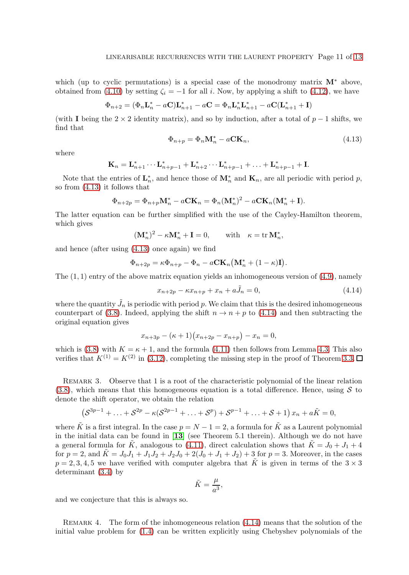which (up to cyclic permutations) is a special case of the monodromy matrix  $M^*$  above, obtained from [\(4.10\)](#page-9-0) by setting  $\zeta_i = -1$  for all i. Now, by applying a shift to [\(4.12\)](#page-9-1), we have

$$
\Phi_{n+2} = (\Phi_n \mathbf{L}_n^* - a\mathbf{C})\mathbf{L}_{n+1}^* - a\mathbf{C} = \Phi_n \mathbf{L}_n^* \mathbf{L}_{n+1}^* - a\mathbf{C}(\mathbf{L}_{n+1}^* + \mathbf{I})
$$

(with I being the 2  $\times$  2 identity matrix), and so by induction, after a total of p – 1 shifts, we find that

$$
\Phi_{n+p} = \Phi_n \mathbf{M}_n^* - a \mathbf{C} \mathbf{K}_n,\tag{4.13}
$$

where

$$
\mathbf{K}_n = \mathbf{L}_{n+1}^* \cdots \mathbf{L}_{n+p-1}^* + \mathbf{L}_{n+2}^* \cdots \mathbf{L}_{n+p-1}^* + \ldots + \mathbf{L}_{n+p-1}^* + \mathbf{I}.
$$

Note that the entries of  $\mathbf{L}_n^*$ , and hence those of  $\mathbf{M}_n^*$  and  $\mathbf{K}_n$ , are all periodic with period p, so from [\(4.13\)](#page-10-0) it follows that

$$
\Phi_{n+2p} = \Phi_{n+p} \mathbf{M}_n^* - a \mathbf{C} \mathbf{K}_n = \Phi_n (\mathbf{M}_n^*)^2 - a \mathbf{C} \mathbf{K}_n (\mathbf{M}_n^* + \mathbf{I}).
$$

The latter equation can be further simplified with the use of the Cayley-Hamilton theorem, which gives

$$
(\mathbf{M}_n^*)^2 - \kappa \mathbf{M}_n^* + \mathbf{I} = 0, \quad \text{with} \quad \kappa = \text{tr}\,\mathbf{M}_n^*,
$$

and hence (after using [\(4.13\)](#page-10-0) once again) we find

$$
\Phi_{n+2p} = \kappa \Phi_{n+p} - \Phi_n - a\mathbf{CK}_n (\mathbf{M}_n^* + (1 - \kappa)\mathbf{I}).
$$

The  $(1, 1)$  entry of the above matrix equation yields an inhomogeneous version of  $(4.9)$ , namely

<span id="page-11-3"></span>
$$
x_{n+2p} - \kappa x_{n+p} + x_n + a\tilde{J}_n = 0,
$$
\n
$$
(4.14)
$$

where the quantity  $\tilde{J}_n$  is periodic with period p. We claim that this is the desired inhomogeneous counterpart of [\(3.8\)](#page-5-2). Indeed, applying the shift  $n \to n + p$  to [\(4.14\)](#page-10-1) and then subtracting the original equation gives

$$
x_{n+3p} - (\kappa + 1)(x_{n+2p} - x_{n+p}) - x_n = 0,
$$

<span id="page-11-0"></span>which is [\(3.8\)](#page-5-2) with  $K = \kappa + 1$ , and the formula [\(4.11\)](#page-9-2) then follows from Lemma [4.3.](#page-9-3) This also verifies that  $K^{(1)} = K^{(2)}$  in [\(3.12\)](#page-5-6), completing the missing step in the proof of Theorem [3.3.](#page-5-0)

REMARK 3. Observe that 1 is a root of the characteristic polynomial of the linear relation  $(3.8)$ , which means that this homogeneous equation is a total difference. Hence, using S to denote the shift operator, we obtain the relation

$$
(S^{3p-1} + ... + S^{2p} - \kappa (S^{2p-1} + ... + S^p) + S^{p-1} + ... + S + 1) x_n + aK = 0,
$$

where  $\tilde{K}$  is a first integral. In the case  $p = N - 1 = 2$ , a formula for  $\tilde{K}$  as a Laurent polynomial in the initial data can be found in [[13](#page-12-12)] (see Theorem 5.1 therein). Although we do not have a general formula for  $\tilde{K}$ , analogous to [\(4.11\)](#page-9-2), direct calculation shows that  $\tilde{K} = J_0 + J_1 + 4$ for  $p = 2$ , and  $\tilde{K} = J_0 J_1 + J_1 J_2 + J_2 J_0 + 2(J_0 + J_1 + J_2) + 3$  for  $p = 3$ . Moreover, in the cases  $p = 2, 3, 4, 5$  we have verified with computer algebra that  $\tilde{K}$  is given in terms of the  $3 \times 3$ determinant [\(3.4\)](#page-4-1) by

<span id="page-11-2"></span><span id="page-11-1"></span>
$$
\tilde{K} = \frac{\mu}{a^3},
$$

and we conjecture that this is always so.

REMARK 4. The form of the inhomogeneous relation  $(4.14)$  means that the solution of the initial value problem for [\(1.4\)](#page-1-0) can be written explicitly using Chebyshev polynomials of the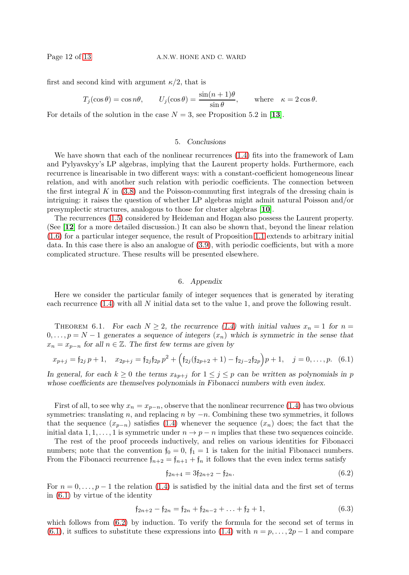first and second kind with argument  $\kappa/2$ , that is

$$
T_j(\cos \theta) = \cos n\theta
$$
,  $U_j(\cos \theta) = \frac{\sin(n+1)\theta}{\sin \theta}$ , where  $\kappa = 2\cos \theta$ .

For details of the solution in the case  $N = 3$ , see Proposition 5.2 in [[13](#page-12-12)].

#### 5. Conclusions

We have shown that each of the nonlinear recurrences [\(1.4\)](#page-1-0) fits into the framework of Lam and Pylyavskyy's LP algebras, implying that the Laurent property holds. Furthermore, each recurrence is linearisable in two different ways: with a constant-coefficient homogeneous linear relation, and with another such relation with periodic coefficients. The connection between the first integral K in  $(3.8)$  and the Poisson-commuting first integrals of the dressing chain is intriguing: it raises the question of whether LP algebras might admit natural Poisson and/or presymplectic structures, analogous to those for cluster algebras [[10](#page-12-19)].

<span id="page-12-16"></span><span id="page-12-7"></span><span id="page-12-4"></span>The recurrences [\(1.5\)](#page-1-1) considered by Heideman and Hogan also possess the Laurent property. (See [[12](#page-12-20)] for a more detailed discussion.) It can also be shown that, beyond the linear relation [\(1.6\)](#page-1-3) for a particular integer sequence, the result of Proposition [1.1](#page-1-2) extends to arbitrary initial data. In this case there is also an analogue of [\(3.9\)](#page-5-1), with periodic coefficients, but with a more complicated structure. These results will be presented elsewhere.

#### <span id="page-12-2"></span>6. Appendix

<span id="page-12-15"></span><span id="page-12-10"></span><span id="page-12-6"></span><span id="page-12-3"></span><span id="page-12-1"></span>Here we consider the particular family of integer sequences that is generated by iterating each recurrence [\(1.4\)](#page-1-0) with all N initial data set to the value 1, and prove the following result.

<span id="page-12-19"></span><span id="page-12-0"></span>THEOREM 6.1. For each  $N \geq 2$ , the recurrence [\(1.4\)](#page-1-0) with initial values  $x_n = 1$  for  $n =$  $0, \ldots, p = N - 1$  generates a sequence of integers  $(x_n)$  which is symmetric in the sense that  $x_n = x_{n-n}$  for all  $n \in \mathbb{Z}$ . The first few terms are given by

<span id="page-12-20"></span><span id="page-12-11"></span>
$$
x_{p+j} = \mathfrak{f}_{2j} \, p+1, \quad x_{2p+j} = \mathfrak{f}_{2j} \mathfrak{f}_{2p} \, p^2 + \Big( \mathfrak{f}_{2j} (\mathfrak{f}_{2p+2}+1) - \mathfrak{f}_{2j-2} \mathfrak{f}_{2p} \Big) p+1, \quad j = 0, \ldots, p. \tag{6.1}
$$

<span id="page-12-12"></span><span id="page-12-8"></span><span id="page-12-5"></span>In general, for each  $k \geq 0$  the terms  $x_{kp+j}$  for  $1 \leq j \leq p$  can be written as polynomials in p whose coefficients are themselves polynomials in Fibonacci numbers with even index.

<span id="page-12-17"></span><span id="page-12-13"></span><span id="page-12-9"></span>First of all, to see why  $x_n = x_{p-n}$ , observe that the nonlinear recurrence [\(1.4\)](#page-1-0) has two obvious symmetries: translating n, and replacing n by  $-n$ . Combining these two symmetries, it follows that the sequence  $(x_{p-n})$  satisfies [\(1.4\)](#page-1-0) whenever the sequence  $(x_n)$  does; the fact that the initial data 1, 1, ..., 1 is symmetric under  $n \to p - n$  implies that these two sequences coincide.

<span id="page-12-18"></span><span id="page-12-14"></span>The rest of the proof proceeds inductively, and relies on various identities for Fibonacci numbers; note that the convention  $f_0 = 0$ ,  $f_1 = 1$  is taken for the initial Fibonacci numbers. From the Fibonacci recurrence  $f_{n+2} = f_{n+1} + f_n$  it follows that the even index terms satisfy

$$
f_{2n+4} = 3f_{2n+2} - f_{2n}.
$$
\n(6.2)

For  $n = 0, \ldots, p - 1$  the relation [\(1.4\)](#page-1-0) is satisfied by the initial data and the first set of terms in [\(6.1\)](#page-11-0) by virtue of the identity

$$
\mathfrak{f}_{2n+2} - \mathfrak{f}_{2n} = \mathfrak{f}_{2n} + \mathfrak{f}_{2n-2} + \ldots + \mathfrak{f}_2 + 1,\tag{6.3}
$$

which follows from  $(6.2)$  by induction. To verify the formula for the second set of terms in [\(6.1\)](#page-11-0), it suffices to substitute these expressions into [\(1.4\)](#page-1-0) with  $n = p, \ldots, 2p - 1$  and compare